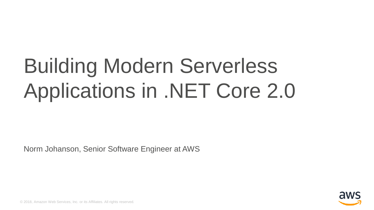# Building Modern Serverless Applications in .NET Core 2.0

Norm Johanson, Senior Software Engineer at AWS



© 2018, Amazon Web Services, Inc. or its Affiliates. All rights reserved.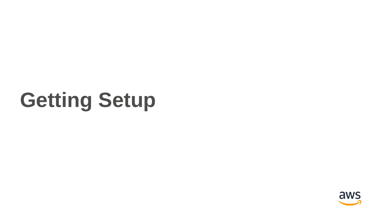# **Getting Setup**

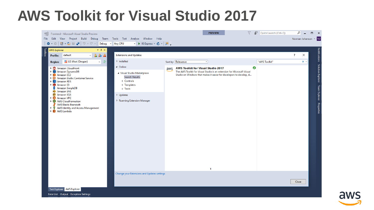#### **AWS Toolkit for Visual Studio 2017**



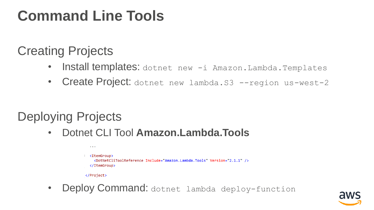### **Command Line Tools**

#### Creating Projects

- Install templates: dotnet new -i Amazon.Lambda.Templates
- Create Project: dotnet new lambda.S3 --region us-west-2

#### Deploying Projects

• Dotnet CLI Tool **Amazon.Lambda.Tools**

| .                                                                                                                                |
|----------------------------------------------------------------------------------------------------------------------------------|
| <itemgroup><br/><dotnetclitoolreference include="Amazon.Lambda.Tools" version="2.1.1"></dotnetclitoolreference><br/></itemgroup> |
| $\langle$ /Project $\rangle$                                                                                                     |

• Deploy Command: dotnet lambda deploy-function

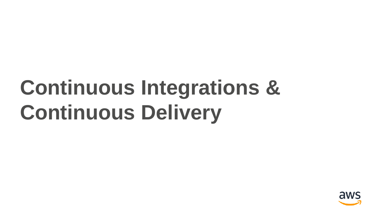# **Continuous Integrations & Continuous Delivery**

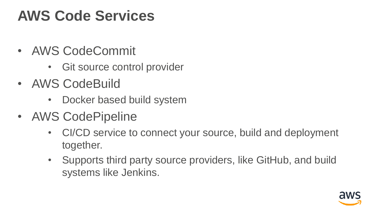### **AWS Code Services**

- AWS CodeCommit
	- Git source control provider
- AWS CodeBuild
	- Docker based build system
- AWS CodePipeline
	- CI/CD service to connect your source, build and deployment together.
	- Supports third party source providers, like GitHub, and build systems like Jenkins.

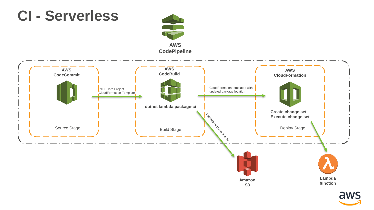

aws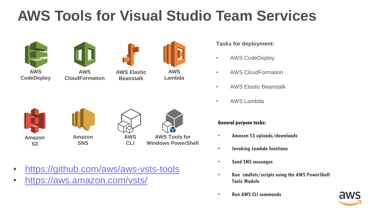### **AWS Tools for Visual Studio Team Services**





**AWS CloudFormation**



**Beanstalk**

**AWS CLI**

**AWS Lambda**









• <https://github.com/aws/aws-vsts-tools>

• <https://aws.amazon.com/vsts/>

**Tasks for deployment:**

- AWS CodeDeploy
- AWS CloudFormation
- AWS Elastic Beanstalk
- AWS Lambda

#### **General purpose tasks:**

- **Amazon S3 uploads/downloads**
- **Invoking Lambda functions**
- **Send SNS messages**
- **Run cmdlets/scripts using the AWS PowerShell Tools Module**
- **Run AWS CLI commands**